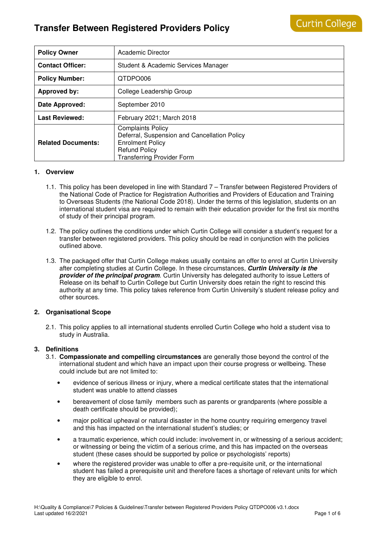| <b>Policy Owner</b>       | Academic Director                                                                                                                                                |
|---------------------------|------------------------------------------------------------------------------------------------------------------------------------------------------------------|
| <b>Contact Officer:</b>   | Student & Academic Services Manager                                                                                                                              |
| <b>Policy Number:</b>     | QTDPO006                                                                                                                                                         |
| <b>Approved by:</b>       | College Leadership Group                                                                                                                                         |
| Date Approved:            | September 2010                                                                                                                                                   |
| <b>Last Reviewed:</b>     | February 2021; March 2018                                                                                                                                        |
| <b>Related Documents:</b> | <b>Complaints Policy</b><br>Deferral, Suspension and Cancellation Policy<br><b>Enrolment Policy</b><br><b>Refund Policy</b><br><b>Transferring Provider Form</b> |

#### **1. Overview**

- 1.1. This policy has been developed in line with Standard 7 Transfer between Registered Providers of the National Code of Practice for Registration Authorities and Providers of Education and Training to Overseas Students (the National Code 2018). Under the terms of this legislation, students on an international student visa are required to remain with their education provider for the first six months of study of their principal program.
- 1.2. The policy outlines the conditions under which Curtin College will consider a student's request for a transfer between registered providers. This policy should be read in conjunction with the policies outlined above.
- 1.3. The packaged offer that Curtin College makes usually contains an offer to enrol at Curtin University after completing studies at Curtin College. In these circumstances, **Curtin University is the provider of the principal program**. Curtin University has delegated authority to issue Letters of Release on its behalf to Curtin College but Curtin University does retain the right to rescind this authority at any time. This policy takes reference from Curtin University's student release policy and other sources.

#### **2. Organisational Scope**

2.1. This policy applies to all international students enrolled Curtin College who hold a student visa to study in Australia.

#### **3. Definitions**

- 3.1. **Compassionate and compelling circumstances** are generally those beyond the control of the international student and which have an impact upon their course progress or wellbeing. These could include but are not limited to:
	- evidence of serious illness or injury, where a medical certificate states that the international student was unable to attend classes
	- bereavement of close family members such as parents or grandparents (where possible a death certificate should be provided);
	- major political upheaval or natural disaster in the home country requiring emergency travel and this has impacted on the international student's studies; or
	- a traumatic experience, which could include: involvement in, or witnessing of a serious accident; or witnessing or being the victim of a serious crime, and this has impacted on the overseas student (these cases should be supported by police or psychologists' reports)
	- where the registered provider was unable to offer a pre-requisite unit, or the international student has failed a prerequisite unit and therefore faces a shortage of relevant units for which they are eligible to enrol.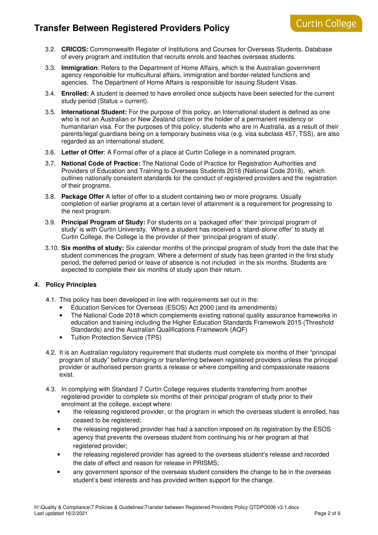- 3.2. **CRICOS:** Commonwealth Register of Institutions and Courses for Overseas Students. Database of every program and institution that recruits enrols and teaches overseas students.
- 3.3. **Immigration**: Refers to the Department of Home Affairs, which is the Australian government agency responsible for multicultural affairs, immigration and border-related functions and agencies. The Department of Home Affairs is responsible for issuing Student Visas.
- 3.4. **Enrolled:** A student is deemed to have enrolled once subjects have been selected for the current study period (Status = current).
- 3.5. **International Student:** For the purpose of this policy, an International student is defined as one who is not an Australian or New Zealand citizen or the holder of a permanent residency or humanitarian visa. For the purposes of this policy, students who are in Australia, as a result of their parents/legal guardians being on a temporary business visa (e.g. visa subclass 457, TSS), are also regarded as an international student.
- 3.6. **Letter of Offer**: A Formal offer of a place at Curtin College in a nominated program.
- 3.7. **National Code of Practice:** The National Code of Practice for Registration Authorities and Providers of Education and Training to Overseas Students 2018 (National Code 2018), which outlines nationally consistent standards for the conduct of registered providers and the registration of their programs.
- 3.8. **Package Offer** A letter of offer to a student containing two or more programs. Usually completion of earlier programs at a certain level of attainment is a requirement for progressing to the next program.
- 3.9. **Principal Program of Study:** For students on a 'packaged offer' their 'principal program of study' is with Curtin University. Where a student has received a 'stand-alone offer' to study at Curtin College, the College is the provider of their 'principal program of study'.
- 3.10. **Six months of study:** Six calendar months of the principal program of study from the date that the student commences the program. Where a deferment of study has been granted in the first study period, the deferred period or leave of absence is not included in the six months. Students are expected to complete their six months of study upon their return.

### **4. Policy Principles**

- 4.1. This policy has been developed in line with requirements set out in the:
	- Education Services for Overseas (ESOS) Act 2000 (and its amendments)
	- The National Code 2018 which complements existing national quality assurance frameworks in education and training including the Higher Education Standards Framework 2015 (Threshold Standards) and the Australian Qualifications Framework (AQF)
	- Tuition Protection Service (TPS)
- 4.2. It is an Australian regulatory requirement that students must complete six months of their "principal program of study" before changing or transferring between registered providers unless the principal provider or authorised person grants a release or where compelling and compassionate reasons exist.
- 4.3. In complying with Standard 7 Curtin College requires students transferring from another registered provider to complete six months of their principal program of study prior to their enrolment at the college, except where:
	- the releasing registered provider, or the program in which the overseas student is enrolled, has ceased to be registered;
	- the releasing registered provider has had a sanction imposed on its registration by the ESOS agency that prevents the overseas student from continuing his or her program at that registered provider:
	- the releasing registered provider has agreed to the overseas student's release and recorded the date of effect and reason for release in PRISMS;
	- any government sponsor of the overseas student considers the change to be in the overseas student's best interests and has provided written support for the change.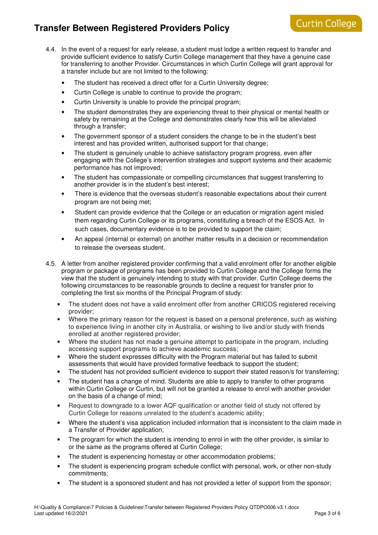- 4.4. In the event of a request for early release, a student must lodge a written request to transfer and provide sufficient evidence to satisfy Curtin College management that they have a genuine case for transferring to another Provider. Circumstances in which Curtin College will grant approval for a transfer include but are not limited to the following:
	- The student has received a direct offer for a Curtin University degree;
	- Curtin College is unable to continue to provide the program;
	- Curtin University is unable to provide the principal program;
	- The student demonstrates they are experiencing threat to their physical or mental health or safety by remaining at the College and demonstrates clearly how this will be alleviated through a transfer;
	- The government sponsor of a student considers the change to be in the student's best interest and has provided written, authorised support for that change;
	- The student is genuinely unable to achieve satisfactory program progress, even after engaging with the College's intervention strategies and support systems and their academic performance has not improved;
	- The student has compassionate or compelling circumstances that suggest transferring to another provider is in the student's best interest;
	- There is evidence that the overseas student's reasonable expectations about their current program are not being met;
	- Student can provide evidence that the College or an education or migration agent misled them regarding Curtin College or its programs, constituting a breach of the ESOS Act. In such cases, documentary evidence is to be provided to support the claim;
	- An appeal (internal or external) on another matter results in a decision or recommendation to release the overseas student.
- 4.5. A letter from another registered provider confirming that a valid enrolment offer for another eligible program or package of programs has been provided to Curtin College and the College forms the view that the student is genuinely intending to study with that provider. Curtin College deems the following circumstances to be reasonable grounds to decline a request for transfer prior to completing the first six months of the Principal Program of study:
	- The student does not have a valid enrolment offer from another CRICOS registered receiving provider;
	- Where the primary reason for the request is based on a personal preference, such as wishing to experience living in another city in Australia, or wishing to live and/or study with friends enrolled at another registered provider;
	- Where the student has not made a genuine attempt to participate in the program, including accessing support programs to achieve academic success;
	- Where the student expresses difficulty with the Program material but has failed to submit assessments that would have provided formative feedback to support the student;
	- The student has not provided sufficient evidence to support their stated reason/s for transferring;
	- The student has a change of mind. Students are able to apply to transfer to other programs within Curtin College or Curtin, but will not be granted a release to enrol with another provider on the basis of a change of mind;
	- Request to downgrade to a lower AQF qualification or another field of study not offered by Curtin College for reasons unrelated to the student's academic ability;
	- Where the student's visa application included information that is inconsistent to the claim made in a Transfer of Provider application;
	- The program for which the student is intending to enrol in with the other provider, is similar to or the same as the programs offered at Curtin College;
	- The student is experiencing homestay or other accommodation problems;
	- The student is experiencing program schedule conflict with personal, work, or other non-study commitments;
	- The student is a sponsored student and has not provided a letter of support from the sponsor;

**Curtin College**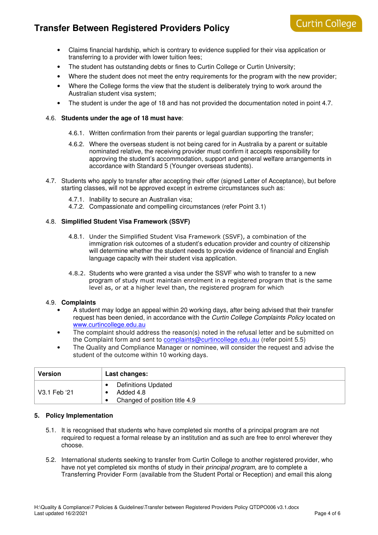# **Curtin College**

- Claims financial hardship, which is contrary to evidence supplied for their visa application or transferring to a provider with lower tuition fees;
- The student has outstanding debts or fines to Curtin College or Curtin University;
- Where the student does not meet the entry requirements for the program with the new provider:
- Where the College forms the view that the student is deliberately trying to work around the Australian student visa system;
- The student is under the age of 18 and has not provided the documentation noted in point 4.7.

#### 4.6. **Students under the age of 18 must have**:

- 4.6.1. Written confirmation from their parents or legal guardian supporting the transfer;
- 4.6.2. Where the overseas student is not being cared for in Australia by a parent or suitable nominated relative, the receiving provider must confirm it accepts responsibility for approving the student's accommodation, support and general welfare arrangements in accordance with Standard 5 (Younger overseas students).
- 4.7. Students who apply to transfer after accepting their offer (signed Letter of Acceptance), but before starting classes, will not be approved except in extreme circumstances such as:
	- 4.7.1. Inability to secure an Australian visa;
	- 4.7.2. Compassionate and compelling circumstances (refer Point 3.1)

#### 4.8. **Simplified Student Visa Framework (SSVF)**

- 4.8.1. Under the Simplified Student Visa Framework (SSVF), a combination of the immigration risk outcomes of a student's education provider and country of citizenship will determine whether the student needs to provide evidence of financial and English language capacity with their student visa application.
- 4.8.2. Students who were granted a visa under the SSVF who wish to transfer to a new program of study must maintain enrolment in a registered program that is the same level as, or at a higher level than, the registered program for which

#### 4.9. **Complaints**

- A student may lodge an appeal within 20 working days, after being advised that their transfer request has been denied, in accordance with the Curtin College Complaints Policy located on www.curtincollege.edu.au
- The complaint should address the reason(s) noted in the refusal letter and be submitted on the Complaint form and sent to **complaints@curtincollege.edu.au** (refer point 5.5)
- The Quality and Compliance Manager or nominee, will consider the request and advise the student of the outcome within 10 working days.

| Version      | Last changes:                                                            |
|--------------|--------------------------------------------------------------------------|
| V3.1 Feb '21 | <b>Definitions Updated</b><br>Added 4.8<br>Changed of position title 4.9 |

#### **5. Policy Implementation**

- 5.1. It is recognised that students who have completed six months of a principal program are not required to request a formal release by an institution and as such are free to enrol wherever they choose.
- 5.2. International students seeking to transfer from Curtin College to another registered provider, who have not yet completed six months of study in their *principal program*, are to complete a Transferring Provider Form (available from the Student Portal or Reception) and email this along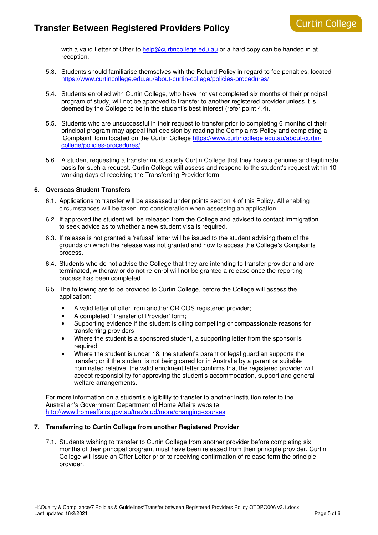with a valid Letter of Offer to help@curtincollege.edu.au or a hard copy can be handed in at reception.

- 5.3. Students should familiarise themselves with the Refund Policy in regard to fee penalties, located https://www.curtincollege.edu.au/about-curtin-college/policies-procedures/
- 5.4. Students enrolled with Curtin College, who have not yet completed six months of their principal program of study, will not be approved to transfer to another registered provider unless it is deemed by the College to be in the student's best interest (refer point 4.4).
- 5.5. Students who are unsuccessful in their request to transfer prior to completing 6 months of their principal program may appeal that decision by reading the Complaints Policy and completing a 'Complaint' form located on the Curtin College https://www.curtincollege.edu.au/about-curtincollege/policies-procedures/
- 5.6. A student requesting a transfer must satisfy Curtin College that they have a genuine and legitimate basis for such a request. Curtin College will assess and respond to the student's request within 10 working days of receiving the Transferring Provider form.

#### **6. Overseas Student Transfers**

- 6.1. Applications to transfer will be assessed under points section 4 of this Policy. All enabling circumstances will be taken into consideration when assessing an application.
- 6.2. If approved the student will be released from the College and advised to contact Immigration to seek advice as to whether a new student visa is required.
- 6.3. If release is not granted a 'refusal' letter will be issued to the student advising them of the grounds on which the release was not granted and how to access the College's Complaints process.
- 6.4. Students who do not advise the College that they are intending to transfer provider and are terminated, withdraw or do not re-enrol will not be granted a release once the reporting process has been completed.
- 6.5. The following are to be provided to Curtin College, before the College will assess the application:
	- A valid letter of offer from another CRICOS registered provider;
	- A completed 'Transfer of Provider' form;
	- Supporting evidence if the student is citing compelling or compassionate reasons for transferring providers
	- Where the student is a sponsored student, a supporting letter from the sponsor is required
	- Where the student is under 18, the student's parent or legal guardian supports the transfer; or if the student is not being cared for in Australia by a parent or suitable nominated relative, the valid enrolment letter confirms that the registered provider will accept responsibility for approving the student's accommodation, support and general welfare arrangements.

For more information on a student's eligibility to transfer to another institution refer to the Australian's Government Department of Home Affairs website http://www.homeaffairs.gov.au/trav/stud/more/changing-courses

#### **7. Transferring to Curtin College from another Registered Provider**

7.1. Students wishing to transfer to Curtin College from another provider before completing six months of their principal program, must have been released from their principle provider. Curtin College will issue an Offer Letter prior to receiving confirmation of release form the principle provider.